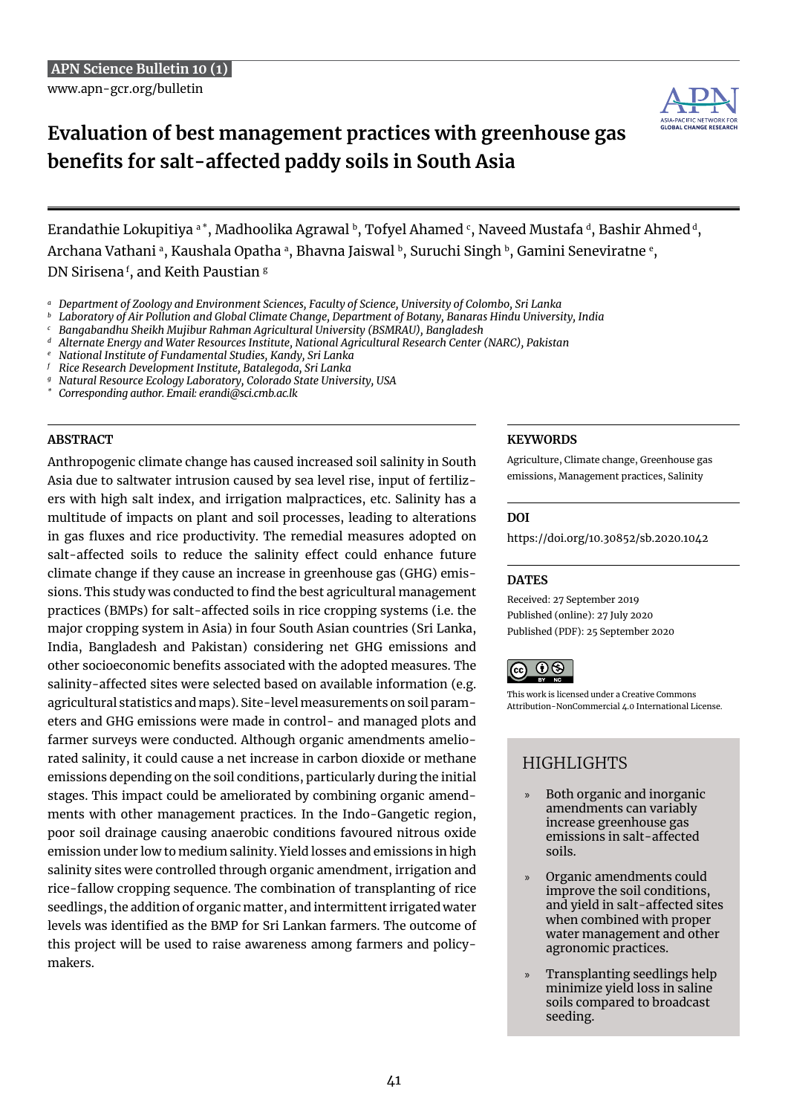

# **Evaluation of best management practices with greenhouse gas benefits for salt-affected paddy soils in South Asia**

Erandathie Lokupitiya a $^{*}$ , Madhoolika Agrawal b, Tofyel Ahamed  $\mathfrak{c}$ , Naveed Mustafa d, Bashir Ahmed d, Archana Vathani ª, Kaushala Opatha ª, Bhavna Jaiswal ʰ, Suruchi Singh ʰ, Gamini Seneviratne º, DN Sirisena <sup>f</sup> , and Keith Paustian g

- *<sup>b</sup> Laboratory of Air Pollution and Global Climate Change, Department of Botany, Banaras Hindu University, India*
- *<sup>c</sup> Bangabandhu Sheikh Mujibur Rahman Agricultural University (BSMRAU), Bangladesh*
- *<sup>d</sup> Alternate Energy and Water Resources Institute, National Agricultural Research Center (NARC), Pakistan*
- *<sup>e</sup> National Institute of Fundamental Studies, Kandy, Sri Lanka*
- *<sup>f</sup> Rice Research Development Institute, Batalegoda, Sri Lanka*
- *<sup>g</sup> Natural Resource Ecology Laboratory, Colorado State University, USA*
- *\* Corresponding author. Email: erandi@sci.cmb.ac.lk*

Anthropogenic climate change has caused increased soil salinity in South Asia due to saltwater intrusion caused by sea level rise, input of fertilizers with high salt index, and irrigation malpractices, etc. Salinity has a multitude of impacts on plant and soil processes, leading to alterations in gas fluxes and rice productivity. The remedial measures adopted on salt-affected soils to reduce the salinity effect could enhance future climate change if they cause an increase in greenhouse gas (GHG) emissions. This study was conducted to find the best agricultural management practices (BMPs) for salt-affected soils in rice cropping systems (i.e. the major cropping system in Asia) in four South Asian countries (Sri Lanka, India, Bangladesh and Pakistan) considering net GHG emissions and other socioeconomic benefits associated with the adopted measures. The salinity-affected sites were selected based on available information (e.g. agricultural statistics and maps). Site-level measurements on soil parameters and GHG emissions were made in control- and managed plots and farmer surveys were conducted. Although organic amendments ameliorated salinity, it could cause a net increase in carbon dioxide or methane emissions depending on the soil conditions, particularly during the initial stages. This impact could be ameliorated by combining organic amendments with other management practices. In the Indo-Gangetic region, poor soil drainage causing anaerobic conditions favoured nitrous oxide emission under low to medium salinity. Yield losses and emissions in high salinity sites were controlled through organic amendment, irrigation and rice-fallow cropping sequence. The combination of transplanting of rice seedlings, the addition of organic matter, and intermittent irrigated water levels was identified as the BMP for Sri Lankan farmers. The outcome of this project will be used to raise awareness among farmers and policymakers.

#### **Abstract Keywords**

Agriculture, Climate change, Greenhouse gas emissions, Management practices, Salinity

#### **DOI**

https://doi.org/10.30852/sb.2020.1042

### **DATES**

Received: 27 September 2019 Published (online): 27 July 2020 Published (PDF): 25 September 2020



This work is licensed under a Creative Commons Attribution-NonCommercial 4.0 International License.

# HIGHLIGHTS

- » Both organic and inorganic amendments can variably increase greenhouse gas emissions in salt-affected soils.
- » Organic amendments could improve the soil conditions, and yield in salt-affected sites when combined with proper water management and other agronomic practices.
- » Transplanting seedlings help minimize yield loss in saline soils compared to broadcast seeding.

*<sup>a</sup> Department of Zoology and Environment Sciences, Faculty of Science, University of Colombo, Sri Lanka*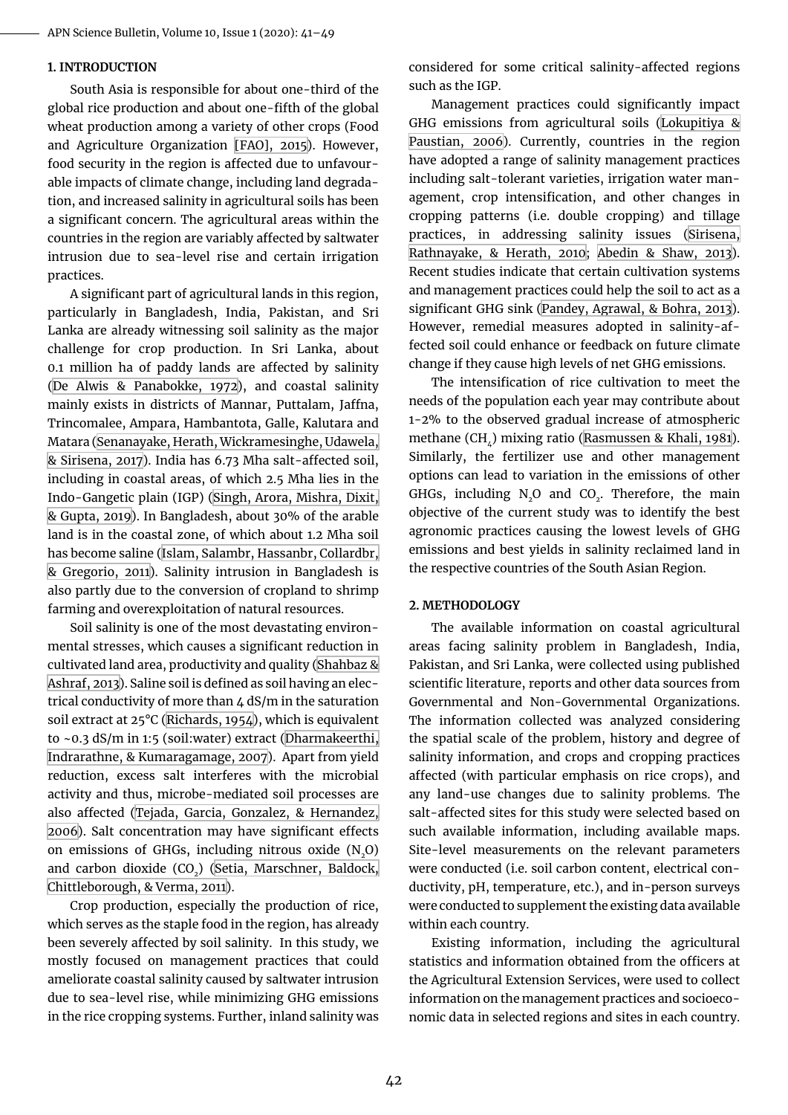#### **1. Introduction**

South Asia is responsible for about one-third of the global rice production and about one-fifth of the global wheat production among a variety of other crops (Food and Agriculture Organization [\[FAO\], 2015](#page-7-0)). However, food security in the region is affected due to unfavourable impacts of climate change, including land degradation, and increased salinity in agricultural soils has been a significant concern. The agricultural areas within the countries in the region are variably affected by saltwater intrusion due to sea-level rise and certain irrigation practices.

A significant part of agricultural lands in this region, particularly in Bangladesh, India, Pakistan, and Sri Lanka are already witnessing soil salinity as the major challenge for crop production. In Sri Lanka, about 0.1 million ha of paddy lands are affected by salinity ([De Alwis & Panabokke, 1972\)](#page-7-1), and coastal salinity mainly exists in districts of Mannar, Puttalam, Jaffna, Trincomalee, Ampara, Hambantota, Galle, Kalutara and Matara [\(Senanayake, Herath, Wickramesinghe, Udawela,](#page-8-0) [& Sirisena, 2017](#page-8-0)). India has 6.73 Mha salt-affected soil, including in coastal areas, of which 2.5 Mha lies in the Indo-Gangetic plain (IGP) [\(Singh, Arora, Mishra, Dixit,](#page-8-1) [& Gupta, 2019](#page-8-1)). In Bangladesh, about 30% of the arable land is in the coastal zone, of which about 1.2 Mha soil has become saline [\(Islam, Salambr, Hassanbr, Collardbr,](#page-8-2) [& Gregorio, 2011](#page-8-2)). Salinity intrusion in Bangladesh is also partly due to the conversion of cropland to shrimp farming and overexploitation of natural resources.

Soil salinity is one of the most devastating environmental stresses, which causes a significant reduction in cultivated land area, productivity and quality ([Shahbaz &](#page-8-3) [Ashraf, 2013](#page-8-3)). Saline soil is defined as soil having an electrical conductivity of more than 4 dS/m in the saturation soil extract at 25°C ([Richards, 1954](#page-8-4)), which is equivalent to ~0.3 dS/m in 1:5 (soil:water) extract [\(Dharmakeerthi,](#page-7-2) [Indrarathne, & Kumaragamage, 2007](#page-7-2)). Apart from yield reduction, excess salt interferes with the microbial activity and thus, microbe-mediated soil processes are also affected [\(Tejada, Garcia, Gonzalez, & Hernandez,](#page-8-5) [2006\)](#page-8-5). Salt concentration may have significant effects on emissions of GHGs, including nitrous oxide  $(N_0)$ and carbon dioxide (CO<sub>2</sub>) [\(Setia, Marschner, Baldock,](#page-8-6) [Chittleborough, & Verma, 2011](#page-8-6)).

Crop production, especially the production of rice, which serves as the staple food in the region, has already been severely affected by soil salinity. In this study, we mostly focused on management practices that could ameliorate coastal salinity caused by saltwater intrusion due to sea-level rise, while minimizing GHG emissions in the rice cropping systems. Further, inland salinity was

considered for some critical salinity-affected regions such as the IGP.

Management practices could significantly impact GHG emissions from agricultural soils ([Lokupitiya &](#page-8-7) [Paustian, 2006](#page-8-7)). Currently, countries in the region have adopted a range of salinity management practices including salt-tolerant varieties, irrigation water management, crop intensification, and other changes in cropping patterns (i.e. double cropping) and tillage practices, in addressing salinity issues [\(Sirisena,](#page-8-8) [Rathnayake, & Herath, 2010;](#page-8-8) [Abedin & Shaw, 2013](#page-7-3)). Recent studies indicate that certain cultivation systems and management practices could help the soil to act as a significant GHG sink [\(Pandey, Agrawal, & Bohra, 2013](#page-8-9)). However, remedial measures adopted in salinity-affected soil could enhance or feedback on future climate change if they cause high levels of net GHG emissions.

The intensification of rice cultivation to meet the needs of the population each year may contribute about 1-2% to the observed gradual increase of atmospheric methane (CH,) mixing ratio [\(Rasmussen & Khali, 1981](#page-8-10)). Similarly, the fertilizer use and other management options can lead to variation in the emissions of other GHGs, including  $N_{2}O$  and  $CO_{2}$ . Therefore, the main objective of the current study was to identify the best agronomic practices causing the lowest levels of GHG emissions and best yields in salinity reclaimed land in the respective countries of the South Asian Region.

#### **2. Methodology**

The available information on coastal agricultural areas facing salinity problem in Bangladesh, India, Pakistan, and Sri Lanka, were collected using published scientific literature, reports and other data sources from Governmental and Non-Governmental Organizations. The information collected was analyzed considering the spatial scale of the problem, history and degree of salinity information, and crops and cropping practices affected (with particular emphasis on rice crops), and any land-use changes due to salinity problems. The salt-affected sites for this study were selected based on such available information, including available maps. Site-level measurements on the relevant parameters were conducted (i.e. soil carbon content, electrical conductivity, pH, temperature, etc.), and in-person surveys were conducted to supplement the existing data available within each country.

Existing information, including the agricultural statistics and information obtained from the officers at the Agricultural Extension Services, were used to collect information on the management practices and socioeconomic data in selected regions and sites in each country.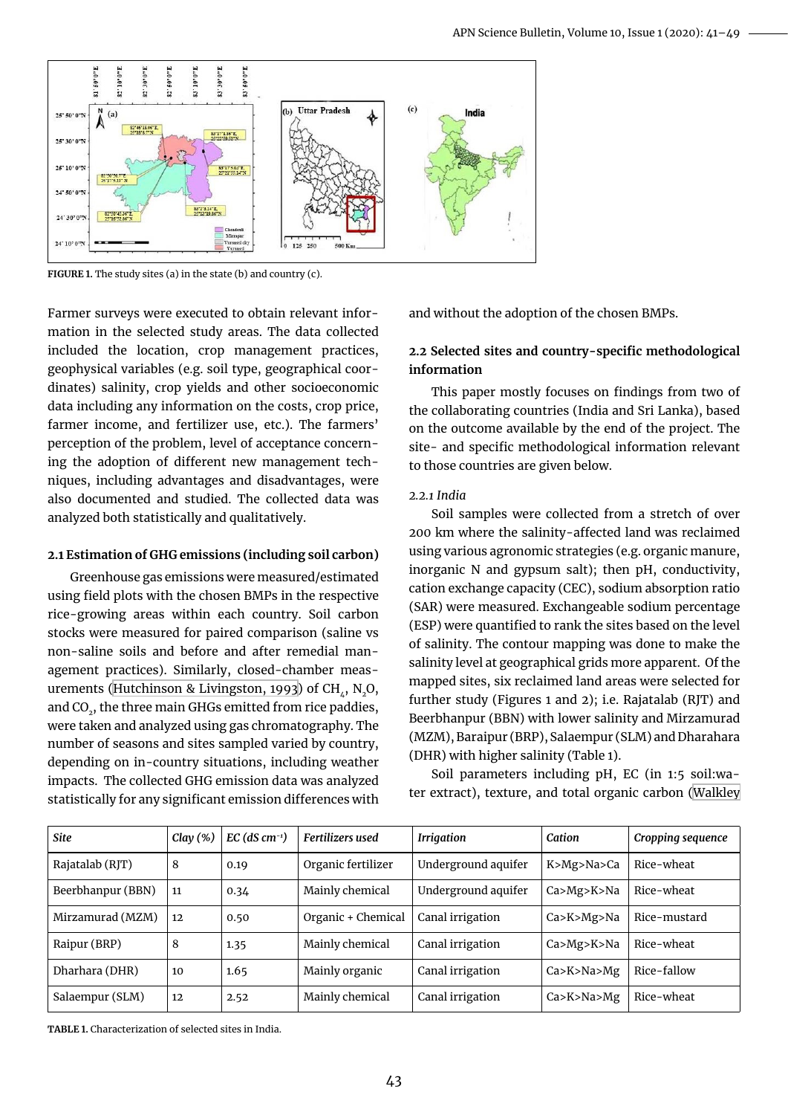

FIGURE 1. The study sites (a) in the state (b) and country (c).

Farmer surveys were executed to obtain relevant information in the selected study areas. The data collected included the location, crop management practices, geophysical variables (e.g. soil type, geographical coordinates) salinity, crop yields and other socioeconomic data including any information on the costs, crop price, farmer income, and fertilizer use, etc.). The farmers' perception of the problem, level of acceptance concerning the adoption of different new management techniques, including advantages and disadvantages, were also documented and studied. The collected data was analyzed both statistically and qualitatively.

#### **2.1 Estimation of GHG emissions (including soil carbon)**

Greenhouse gas emissions were measured/estimated using field plots with the chosen BMPs in the respective rice-growing areas within each country. Soil carbon stocks were measured for paired comparison (saline vs non-saline soils and before and after remedial management practices). Similarly, closed-chamber meas-urements ([Hutchinson & Livingston, 1993](#page-7-4)) of CH $, N, O$ , and CO<sub>2</sub>, the three main GHGs emitted from rice paddies, were taken and analyzed using gas chromatography. The number of seasons and sites sampled varied by country, depending on in-country situations, including weather impacts. The collected GHG emission data was analyzed statistically for any significant emission differences with and without the adoption of the chosen BMPs.

## **2.2 Selected sites and country-specific methodological information**

This paper mostly focuses on findings from two of the collaborating countries (India and Sri Lanka), based on the outcome available by the end of the project. The site- and specific methodological information relevant to those countries are given below.

#### *2.2.1 India*

Soil samples were collected from a stretch of over 200 km where the salinity-affected land was reclaimed using various agronomic strategies (e.g. organic manure, inorganic N and gypsum salt); then pH, conductivity, cation exchange capacity (CEC), sodium absorption ratio (SAR) were measured. Exchangeable sodium percentage (ESP) were quantified to rank the sites based on the level of salinity. The contour mapping was done to make the salinity level at geographical grids more apparent. Of the mapped sites, six reclaimed land areas were selected for further study (Figures 1 and 2); i.e. Rajatalab (RJT) and Beerbhanpur (BBN) with lower salinity and Mirzamurad (MZM), Baraipur (BRP), Salaempur (SLM) and Dharahara (DHR) with higher salinity (Table 1).

Soil parameters including pH, EC (in 1:5 soil:water extract), texture, and total organic carbon ([Walkley](#page-8-11)

| <b>Site</b>       | Clay $(\%)$ | $EC$ (dS cm <sup>-1</sup> ) | <b>Fertilizers</b> used | <b>Irrigation</b>   | Cation           | Cropping sequence |
|-------------------|-------------|-----------------------------|-------------------------|---------------------|------------------|-------------------|
| Rajatalab (RJT)   | 8           | 0.19                        | Organic fertilizer      | Underground aquifer | K>Mg>Na>Ca       | Rice-wheat        |
| Beerbhanpur (BBN) | 11          | 0.34                        | Mainly chemical         | Underground aquifer | Ca > Mg > K > Na | Rice-wheat        |
| Mirzamurad (MZM)  | 12          | 0.50                        | Organic + Chemical      | Canal irrigation    | Ca > K > Mg > Na | Rice-mustard      |
| Raipur (BRP)      | 8           | 1.35                        | Mainly chemical         | Canal irrigation    | Ca > Mg > K > Na | Rice-wheat        |
| Dharhara (DHR)    | 10          | 1.65                        | Mainly organic          | Canal irrigation    | Ca > K > Na > Mg | Rice-fallow       |
| Salaempur (SLM)   | 12          | 2.52                        | Mainly chemical         | Canal irrigation    | Ca > K > Na > Mg | Rice-wheat        |

**Table 1.** Characterization of selected sites in India.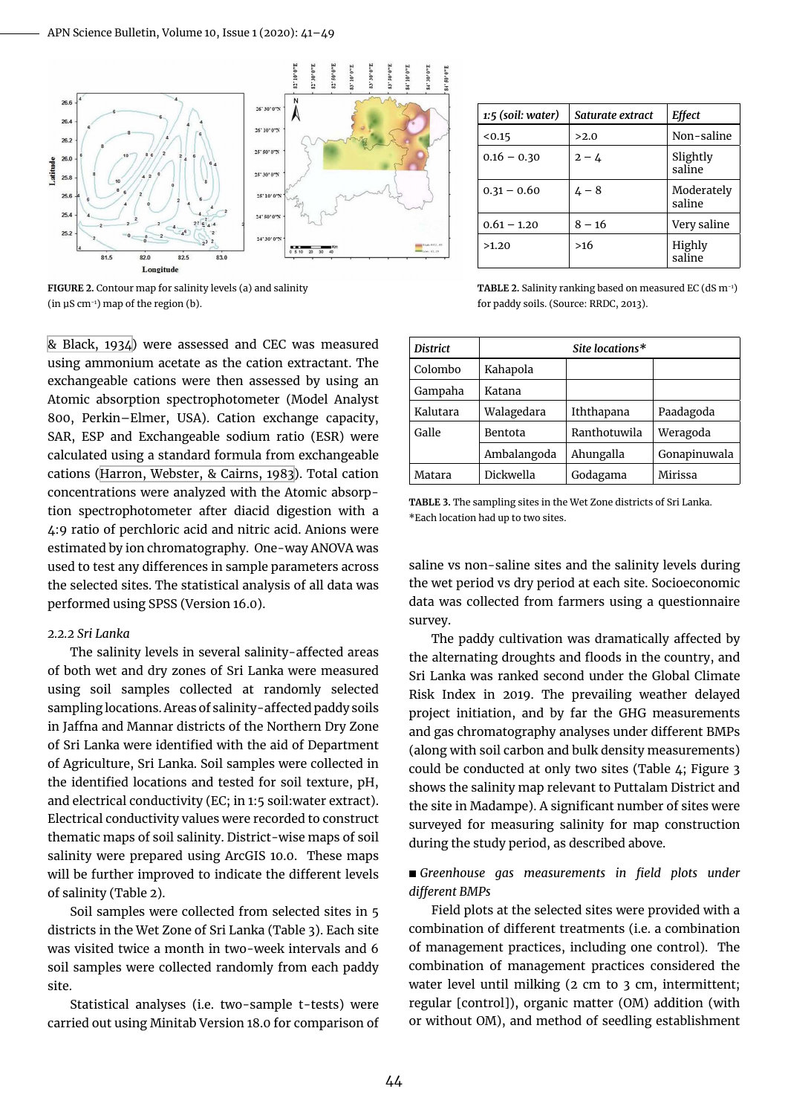

**Figure 2.** Contour map for salinity levels (a) and salinity (in  $\mu$ S cm<sup>-1</sup>) map of the region (b).

[& Black, 1934\)](#page-8-11) were assessed and CEC was measured using ammonium acetate as the cation extractant. The exchangeable cations were then assessed by using an Atomic absorption spectrophotometer (Model Analyst 800, Perkin–Elmer, USA). Cation exchange capacity, SAR, ESP and Exchangeable sodium ratio (ESR) were calculated using a standard formula from exchangeable cations [\(Harron, Webster, & Cairns, 1983](#page-7-5)). Total cation concentrations were analyzed with the Atomic absorption spectrophotometer after diacid digestion with a 4:9 ratio of perchloric acid and nitric acid. Anions were estimated by ion chromatography. One-way ANOVA was used to test any differences in sample parameters across the selected sites. The statistical analysis of all data was performed using SPSS (Version 16.0).

#### *2.2.2 Sri Lanka*

The salinity levels in several salinity-affected areas of both wet and dry zones of Sri Lanka were measured using soil samples collected at randomly selected sampling locations. Areas of salinity-affected paddy soils in Jaffna and Mannar districts of the Northern Dry Zone of Sri Lanka were identified with the aid of Department of Agriculture, Sri Lanka. Soil samples were collected in the identified locations and tested for soil texture, pH, and electrical conductivity (EC; in 1:5 soil:water extract). Electrical conductivity values were recorded to construct thematic maps of soil salinity. District-wise maps of soil salinity were prepared using ArcGIS 10.0. These maps will be further improved to indicate the different levels of salinity (Table 2).

Soil samples were collected from selected sites in 5 districts in the Wet Zone of Sri Lanka (Table 3). Each site was visited twice a month in two-week intervals and 6 soil samples were collected randomly from each paddy site.

Statistical analyses (i.e. two-sample t-tests) were carried out using Minitab Version 18.0 for comparison of

| 1:5 (soil: water) | Saturate extract | Effect               |
|-------------------|------------------|----------------------|
| < 0.15            | >2.0             | Non-saline           |
| $0.16 - 0.30$     | $2 - 4$          | Slightly<br>saline   |
| $0.31 - 0.60$     | $4 - 8$          | Moderately<br>saline |
| $0.61 - 1.20$     | $8 - 16$         | Very saline          |
| >1.20             | >16              | Highly<br>saline     |

**Table 2.** Salinity ranking based on measured EC (dS m-1) for paddy soils. (Source: RRDC, 2013).

| <b>District</b> | Site locations* |              |              |  |
|-----------------|-----------------|--------------|--------------|--|
| Colombo         | Kahapola        |              |              |  |
| Gampaha         | Katana          |              |              |  |
| Kalutara        | Walagedara      | Iththapana   | Paadagoda    |  |
| Galle           | Bentota         | Ranthotuwila | Weragoda     |  |
|                 | Ambalangoda     | Ahungalla    | Gonapinuwala |  |
| Matara          | Dickwella       | Godagama     | Mirissa      |  |

**Table 3.** The sampling sites in the Wet Zone districts of Sri Lanka. \*Each location had up to two sites.

saline vs non-saline sites and the salinity levels during the wet period vs dry period at each site. Socioeconomic data was collected from farmers using a questionnaire survey.

The paddy cultivation was dramatically affected by the alternating droughts and floods in the country, and Sri Lanka was ranked second under the Global Climate Risk Index in 2019. The prevailing weather delayed project initiation, and by far the GHG measurements and gas chromatography analyses under different BMPs (along with soil carbon and bulk density measurements) could be conducted at only two sites (Table 4; Figure 3 shows the salinity map relevant to Puttalam District and the site in Madampe). A significant number of sites were surveyed for measuring salinity for map construction during the study period, as described above.

#### ■ Greenhouse gas measurements in field plots under *different BMPs*

Field plots at the selected sites were provided with a combination of different treatments (i.e. a combination of management practices, including one control). The combination of management practices considered the water level until milking (2 cm to 3 cm, intermittent; regular [control]), organic matter (OM) addition (with or without OM), and method of seedling establishment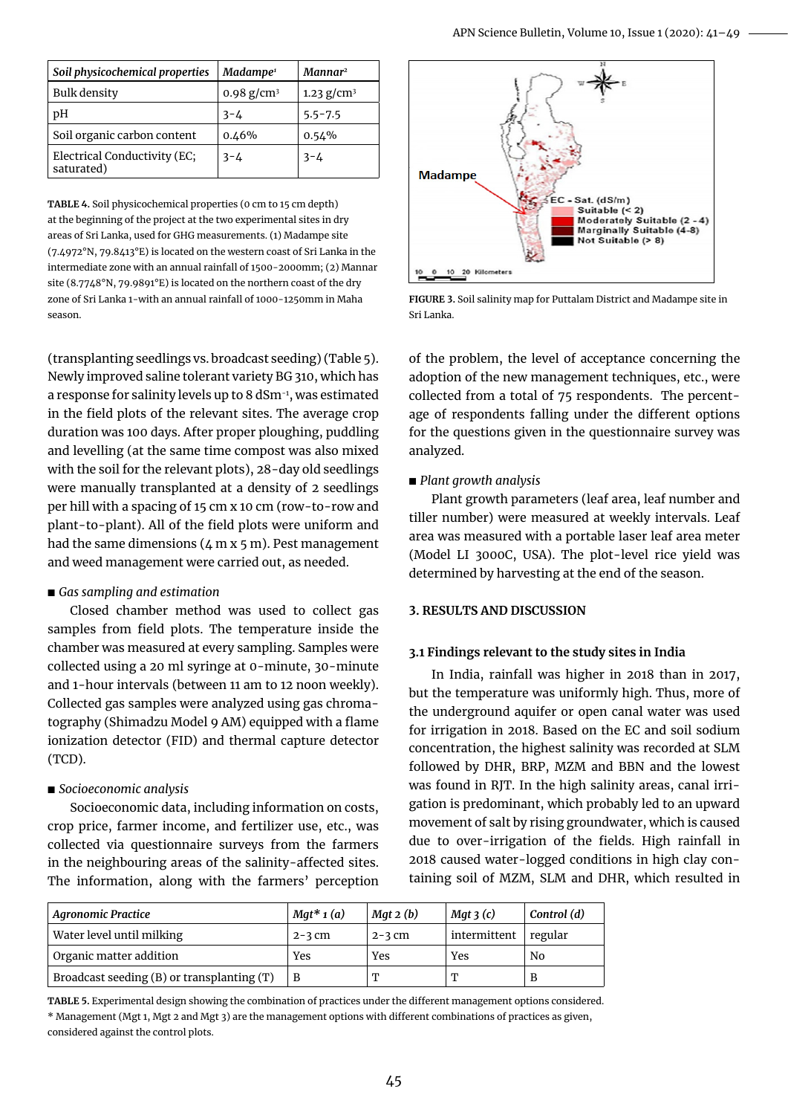| Soil physicochemical properties            | Madampe <sup>1</sup> | Mannar <sup>2</sup> |
|--------------------------------------------|----------------------|---------------------|
| <b>Bulk density</b>                        | 0.98 $g/cm^3$        | 1.23 $g/cm^3$       |
| рH                                         | $3 - 4$              | $5.5 - 7.5$         |
| Soil organic carbon content                | 0.46%                | 0.54%               |
| Electrical Conductivity (EC;<br>saturated) | $3 - 4$              | $3 - 4$             |

**Table 4.** Soil physicochemical properties (0 cm to 15 cm depth) at the beginning of the project at the two experimental sites in dry areas of Sri Lanka, used for GHG measurements. (1) Madampe site (7.4972°N, 79.8413°E) is located on the western coast of Sri Lanka in the intermediate zone with an annual rainfall of 1500-2000mm; (2) Mannar site (8.7748°N, 79.9891°E) is located on the northern coast of the dry zone of Sri Lanka 1-with an annual rainfall of 1000-1250mm in Maha season.

(transplanting seedlings vs. broadcast seeding) (Table 5). Newly improved saline tolerant variety BG 310, which has a response for salinity levels up to 8 dSm-1, was estimated in the field plots of the relevant sites. The average crop duration was 100 days. After proper ploughing, puddling and levelling (at the same time compost was also mixed with the soil for the relevant plots), 28-day old seedlings were manually transplanted at a density of 2 seedlings per hill with a spacing of 15 cm x 10 cm (row-to-row and plant-to-plant). All of the field plots were uniform and had the same dimensions  $(4 \text{ m x } 5 \text{ m})$ . Pest management and weed management were carried out, as needed.

#### *◼ Gas sampling and estimation*

Closed chamber method was used to collect gas samples from field plots. The temperature inside the chamber was measured at every sampling. Samples were collected using a 20 ml syringe at 0-minute, 30-minute and 1-hour intervals (between 11 am to 12 noon weekly). Collected gas samples were analyzed using gas chromatography (Shimadzu Model 9 AM) equipped with a flame ionization detector (FID) and thermal capture detector (TCD).

### *◼ Socioeconomic analysis*

Socioeconomic data, including information on costs, crop price, farmer income, and fertilizer use, etc., was collected via questionnaire surveys from the farmers in the neighbouring areas of the salinity-affected sites. The information, along with the farmers' perception



**Figure 3.** Soil salinity map for Puttalam District and Madampe site in Sri Lanka.

of the problem, the level of acceptance concerning the adoption of the new management techniques, etc., were collected from a total of 75 respondents. The percentage of respondents falling under the different options for the questions given in the questionnaire survey was analyzed.

### *◼ Plant growth analysis*

Plant growth parameters (leaf area, leaf number and tiller number) were measured at weekly intervals. Leaf area was measured with a portable laser leaf area meter (Model LI 3000C, USA). The plot-level rice yield was determined by harvesting at the end of the season.

### **3. Results and Discussion**

### **3.1 Findings relevant to the study sites in India**

In India, rainfall was higher in 2018 than in 2017, but the temperature was uniformly high. Thus, more of the underground aquifer or open canal water was used for irrigation in 2018. Based on the EC and soil sodium concentration, the highest salinity was recorded at SLM followed by DHR, BRP, MZM and BBN and the lowest was found in RJT. In the high salinity areas, canal irrigation is predominant, which probably led to an upward movement of salt by rising groundwater, which is caused due to over-irrigation of the fields. High rainfall in 2018 caused water-logged conditions in high clay containing soil of MZM, SLM and DHR, which resulted in

| <b>Agronomic Practice</b>                  | $Mat^*$ 1 (a) | $M$ gt 2 (b) | $Mat$ 3 $(c)$ | Control (d) |
|--------------------------------------------|---------------|--------------|---------------|-------------|
| Water level until milking                  | $2 - 3$ cm    | $2 - 3$ cm   | intermittent  | regular     |
| Organic matter addition                    | Yes           | Yes          | Yes           | No          |
| Broadcast seeding (B) or transplanting (T) | в             | T            |               | B           |

**Table 5.** Experimental design showing the combination of practices under the different management options considered. \* Management (Mgt 1, Mgt 2 and Mgt 3) are the management options with different combinations of practices as given, considered against the control plots.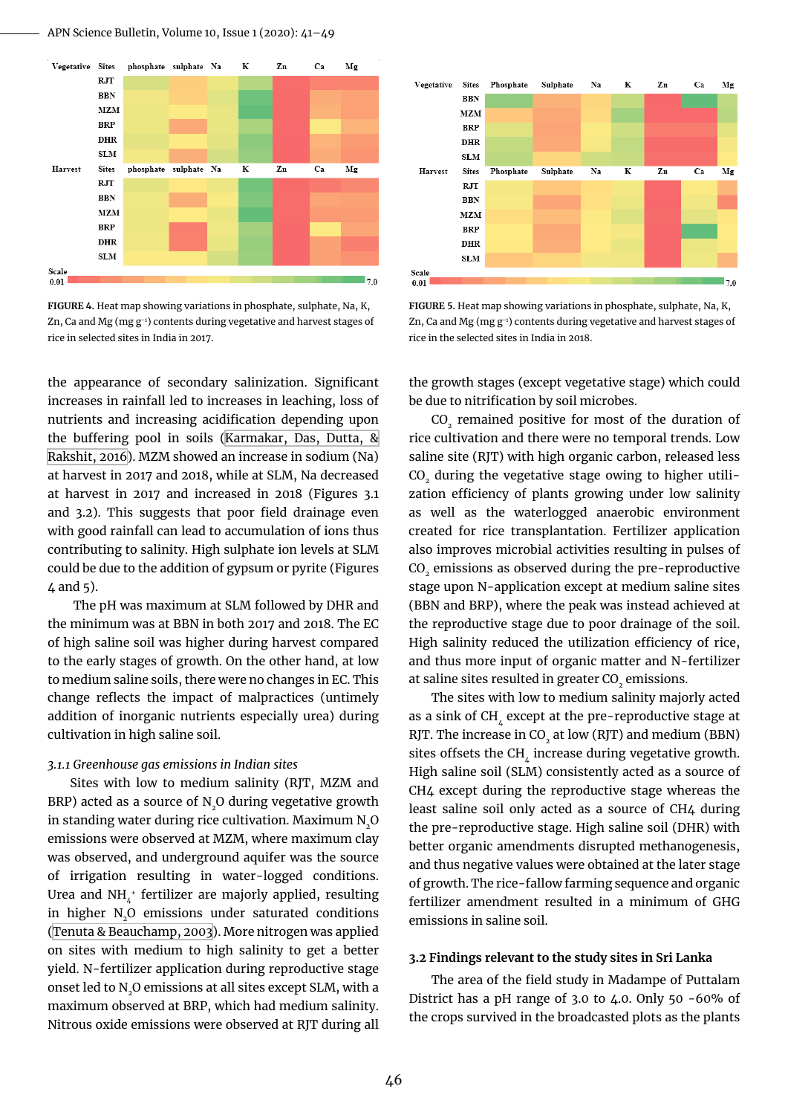APN Science Bulletin, Volume 10, Issue 1 (2020): 41–49



**Figure 4.** Heat map showing variations in phosphate, sulphate, Na, K, Zn, Ca and Mg (mg g-1) contents during vegetative and harvest stages of rice in selected sites in India in 2017.

the appearance of secondary salinization. Significant increases in rainfall led to increases in leaching, loss of nutrients and increasing acidification depending upon the buffering pool in soils [\(Karmakar, Das, Dutta, &](#page-8-12) [Rakshit, 2016](#page-8-12)). MZM showed an increase in sodium (Na) at harvest in 2017 and 2018, while at SLM, Na decreased at harvest in 2017 and increased in 2018 (Figures 3.1 and 3.2). This suggests that poor field drainage even with good rainfall can lead to accumulation of ions thus contributing to salinity. High sulphate ion levels at SLM could be due to the addition of gypsum or pyrite (Figures 4 and 5).

 The pH was maximum at SLM followed by DHR and the minimum was at BBN in both 2017 and 2018. The EC of high saline soil was higher during harvest compared to the early stages of growth. On the other hand, at low to medium saline soils, there were no changes in EC. This change reflects the impact of malpractices (untimely addition of inorganic nutrients especially urea) during cultivation in high saline soil.

#### *3.1.1 Greenhouse gas emissions in Indian sites*

Sites with low to medium salinity (RJT, MZM and BRP) acted as a source of  $N_{2}$ O during vegetative growth in standing water during rice cultivation. Maximum N2O emissions were observed at MZM, where maximum clay was observed, and underground aquifer was the source of irrigation resulting in water-logged conditions. Urea and NH $_4^+$  fertilizer are majorly applied, resulting in higher N<sub>2</sub>O emissions under saturated conditions ([Tenuta & Beauchamp, 2003\)](#page-8-13). More nitrogen was applied on sites with medium to high salinity to get a better yield. N-fertilizer application during reproductive stage onset led to N<sub>2</sub>O emissions at all sites except SLM, with a maximum observed at BRP, which had medium salinity. Nitrous oxide emissions were observed at RJT during all



**Figure 5.** Heat map showing variations in phosphate, sulphate, Na, K, Zn, Ca and Mg (mg g-1) contents during vegetative and harvest stages of rice in the selected sites in India in 2018.

the growth stages (except vegetative stage) which could be due to nitrification by soil microbes.

CO<sub>2</sub> remained positive for most of the duration of rice cultivation and there were no temporal trends. Low saline site (RJT) with high organic carbon, released less CO<sub>2</sub> during the vegetative stage owing to higher utilization efficiency of plants growing under low salinity as well as the waterlogged anaerobic environment created for rice transplantation. Fertilizer application also improves microbial activities resulting in pulses of CO<sub>2</sub> emissions as observed during the pre-reproductive stage upon N-application except at medium saline sites (BBN and BRP), where the peak was instead achieved at the reproductive stage due to poor drainage of the soil. High salinity reduced the utilization efficiency of rice, and thus more input of organic matter and N-fertilizer at saline sites resulted in greater CO<sub>2</sub> emissions.

The sites with low to medium salinity majorly acted as a sink of CH $_{t}$  except at the pre-reproductive stage at RJT. The increase in  $CO<sub>2</sub>$  at low (RJT) and medium (BBN) sites offsets the CH, increase during vegetative growth. High saline soil (SLM) consistently acted as a source of CH4 except during the reproductive stage whereas the least saline soil only acted as a source of CH4 during the pre-reproductive stage. High saline soil (DHR) with better organic amendments disrupted methanogenesis, and thus negative values were obtained at the later stage of growth. The rice-fallow farming sequence and organic fertilizer amendment resulted in a minimum of GHG emissions in saline soil.

#### **3.2 Findings relevant to the study sites in Sri Lanka**

The area of the field study in Madampe of Puttalam District has a pH range of 3.0 to 4.0. Only 50 -60% of the crops survived in the broadcasted plots as the plants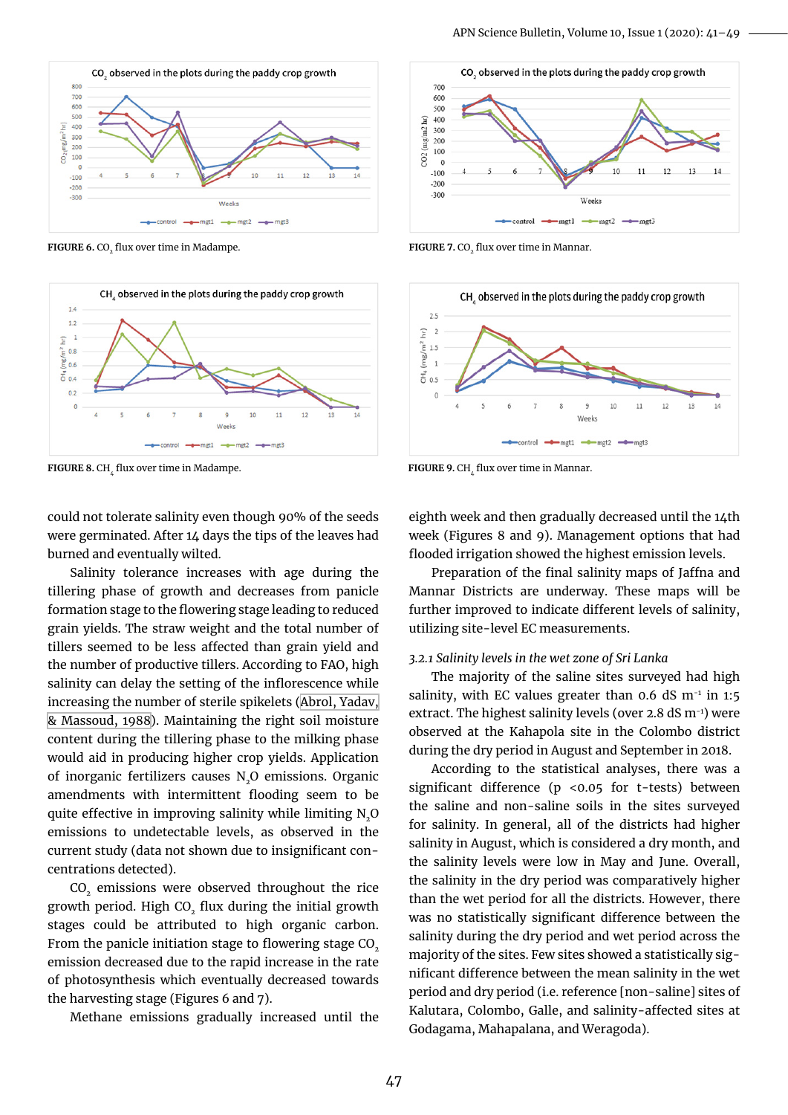

**FIGURE 6.** CO<sub>2</sub> flux over time in Madampe. **2. FIGURE 7.** CO<sub>2</sub> flux over time in Mannar.



**FIGURE 8.** CH<sub>1</sub> flux over time in Madampe. **FIGURE 9.** CH<sub>1</sub> flux over time in Mannar.

could not tolerate salinity even though 90% of the seeds were germinated. After 14 days the tips of the leaves had burned and eventually wilted.

Salinity tolerance increases with age during the tillering phase of growth and decreases from panicle formation stage to the flowering stage leading to reduced grain yields. The straw weight and the total number of tillers seemed to be less affected than grain yield and the number of productive tillers. According to FAO, high salinity can delay the setting of the inflorescence while increasing the number of sterile spikelets [\(Abrol, Yadav,](#page-7-6) [& Massoud, 1988](#page-7-6)). Maintaining the right soil moisture content during the tillering phase to the milking phase would aid in producing higher crop yields. Application of inorganic fertilizers causes N<sub>2</sub>O emissions. Organic amendments with intermittent flooding seem to be quite effective in improving salinity while limiting N<sub>2</sub>O emissions to undetectable levels, as observed in the current study (data not shown due to insignificant concentrations detected).

CO<sub>2</sub> emissions were observed throughout the rice growth period. High CO<sub>2</sub> flux during the initial growth stages could be attributed to high organic carbon. From the panicle initiation stage to flowering stage CO<sub>2</sub> emission decreased due to the rapid increase in the rate of photosynthesis which eventually decreased towards the harvesting stage (Figures 6 and 7).

Methane emissions gradually increased until the





eighth week and then gradually decreased until the 14th week (Figures 8 and 9). Management options that had flooded irrigation showed the highest emission levels.

Preparation of the final salinity maps of Jaffna and Mannar Districts are underway. These maps will be further improved to indicate different levels of salinity, utilizing site-level EC measurements.

#### *3.2.1 Salinity levels in the wet zone of Sri Lanka*

The majority of the saline sites surveyed had high salinity, with EC values greater than 0.6 dS  $m<sup>-1</sup>$  in 1:5 extract. The highest salinity levels (over 2.8 dS m<sup>-1</sup>) were observed at the Kahapola site in the Colombo district during the dry period in August and September in 2018.

According to the statistical analyses, there was a significant difference (p <0.05 for t-tests) between the saline and non-saline soils in the sites surveyed for salinity. In general, all of the districts had higher salinity in August, which is considered a dry month, and the salinity levels were low in May and June. Overall, the salinity in the dry period was comparatively higher than the wet period for all the districts. However, there was no statistically significant difference between the salinity during the dry period and wet period across the majority of the sites. Few sites showed a statistically significant difference between the mean salinity in the wet period and dry period (i.e. reference [non-saline] sites of Kalutara, Colombo, Galle, and salinity-affected sites at Godagama, Mahapalana, and Weragoda).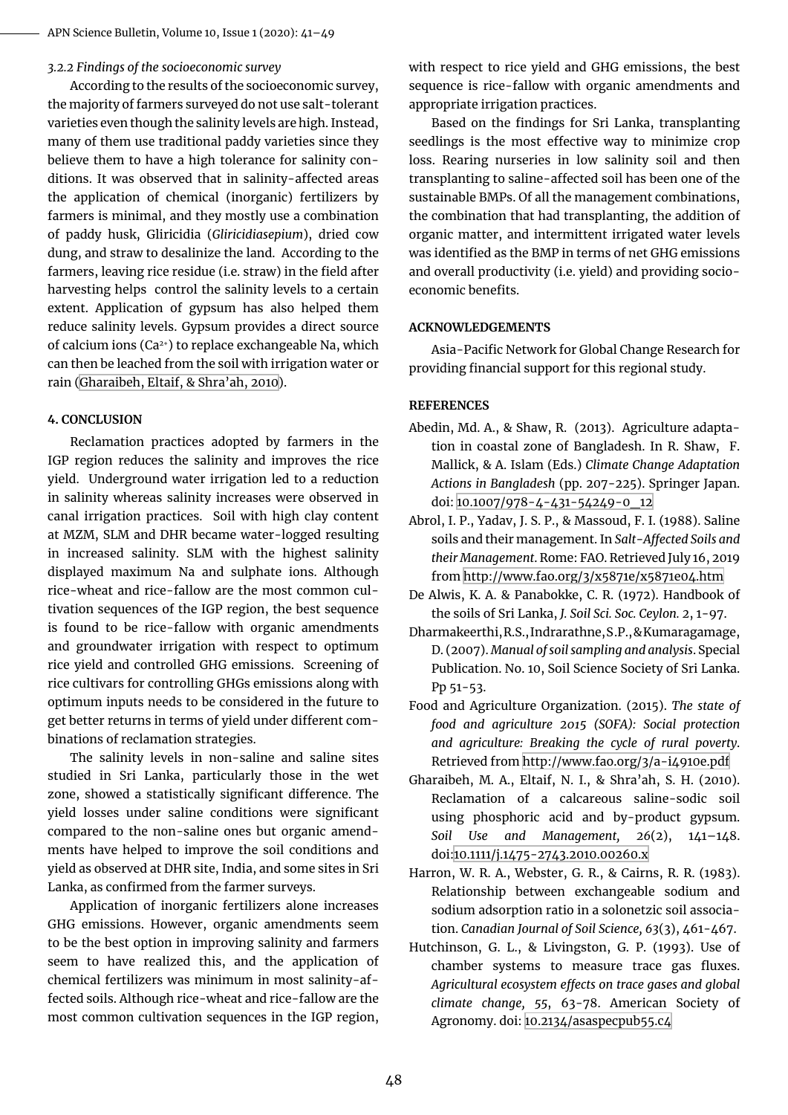#### *3.2.2 Findings of the socioeconomic survey*

According to the results of the socioeconomic survey, the majority of farmers surveyed do not use salt-tolerant varieties even though the salinity levels are high. Instead, many of them use traditional paddy varieties since they believe them to have a high tolerance for salinity conditions. It was observed that in salinity-affected areas the application of chemical (inorganic) fertilizers by farmers is minimal, and they mostly use a combination of paddy husk, Gliricidia (*Gliricidiasepium*), dried cow dung, and straw to desalinize the land. According to the farmers, leaving rice residue (i.e. straw) in the field after harvesting helps control the salinity levels to a certain extent. Application of gypsum has also helped them reduce salinity levels. Gypsum provides a direct source of calcium ions (Ca2+) to replace exchangeable Na, which can then be leached from the soil with irrigation water or rain (Gharaibeh, Eltaif, & Shra'ah, 2010).

#### **4. Conclusion**

Reclamation practices adopted by farmers in the IGP region reduces the salinity and improves the rice yield. Underground water irrigation led to a reduction in salinity whereas salinity increases were observed in canal irrigation practices. Soil with high clay content at MZM, SLM and DHR became water-logged resulting in increased salinity. SLM with the highest salinity displayed maximum Na and sulphate ions. Although rice-wheat and rice-fallow are the most common cultivation sequences of the IGP region, the best sequence is found to be rice-fallow with organic amendments and groundwater irrigation with respect to optimum rice yield and controlled GHG emissions. Screening of rice cultivars for controlling GHGs emissions along with optimum inputs needs to be considered in the future to get better returns in terms of yield under different combinations of reclamation strategies.

The salinity levels in non-saline and saline sites studied in Sri Lanka, particularly those in the wet zone, showed a statistically significant difference. The yield losses under saline conditions were significant compared to the non-saline ones but organic amendments have helped to improve the soil conditions and yield as observed at DHR site, India, and some sites in Sri Lanka, as confirmed from the farmer surveys.

Application of inorganic fertilizers alone increases GHG emissions. However, organic amendments seem to be the best option in improving salinity and farmers seem to have realized this, and the application of chemical fertilizers was minimum in most salinity-affected soils. Although rice-wheat and rice-fallow are the most common cultivation sequences in the IGP region,

with respect to rice yield and GHG emissions, the best sequence is rice-fallow with organic amendments and appropriate irrigation practices.

Based on the findings for Sri Lanka, transplanting seedlings is the most effective way to minimize crop loss. Rearing nurseries in low salinity soil and then transplanting to saline-affected soil has been one of the sustainable BMPs. Of all the management combinations, the combination that had transplanting, the addition of organic matter, and intermittent irrigated water levels was identified as the BMP in terms of net GHG emissions and overall productivity (i.e. yield) and providing socioeconomic benefits.

#### **Acknowledgements**

Asia-Pacific Network for Global Change Research for providing financial support for this regional study.

#### **References**

- <span id="page-7-3"></span>Abedin, Md. A., & Shaw, R. (2013). Agriculture adaptation in coastal zone of Bangladesh. In R. Shaw, F. Mallick, & A. Islam (Eds.) *Climate Change Adaptation Actions in Bangladesh* (pp. 207-225). Springer Japan. doi: [10.1007/978-4-431-54249-0\\_12](https://doi.org/10.1007/978-4-431-54249-0_12)
- <span id="page-7-6"></span>Abrol, I. P., Yadav, J. S. P., & Massoud, F. I. (1988). Saline soils and their management. In *Salt-Affected Soils and their Management*. Rome: FAO. Retrieved July 16, 2019 from<http://www.fao.org/3/x5871e/x5871e04.htm>
- <span id="page-7-1"></span>De Alwis, K. A. & Panabokke, C. R. (1972). Handbook of the soils of Sri Lanka, *J. Soil Sci. Soc. Ceylon. 2*, 1-97.
- <span id="page-7-2"></span>Dharmakeerthi, R.S., Indrarathne, S .P., & Kumaragamage, D. (2007). *Manual of soil sampling and analysis*. Special Publication. No. 10, Soil Science Society of Sri Lanka. Pp 51-53.
- <span id="page-7-0"></span>Food and Agriculture Organization. (2015). *The state of food and agriculture 2015 (SOFA): Social protection and agriculture: Breaking the cycle of rural poverty*. Retrieved from <http://www.fao.org/3/a-i4910e.pdf>
- Gharaibeh, M. A., Eltaif, N. I., & Shra'ah, S. H. (2010). Reclamation of a calcareous saline-sodic soil using phosphoric acid and by-product gypsum. *Soil Use and Management, 26*(2), 141–148. doi[:10.1111/j.1475-2743.2010.00260.x](https://doi.org/10.1111/j.1475-2743.2010.00260.x)
- <span id="page-7-5"></span>Harron, W. R. A., Webster, G. R., & Cairns, R. R. (1983). Relationship between exchangeable sodium and sodium adsorption ratio in a solonetzic soil association. *Canadian Journal of Soil Science, 63*(3), 461-467.
- <span id="page-7-4"></span>Hutchinson, G. L., & Livingston, G. P. (1993). Use of chamber systems to measure trace gas fluxes. *Agricultural ecosystem effects on trace gases and global climate change, 55*, 63-78. American Society of Agronomy. doi: [10.2134/asaspecpub55.c4](https://doi.org/10.2134/asaspecpub55.c4)